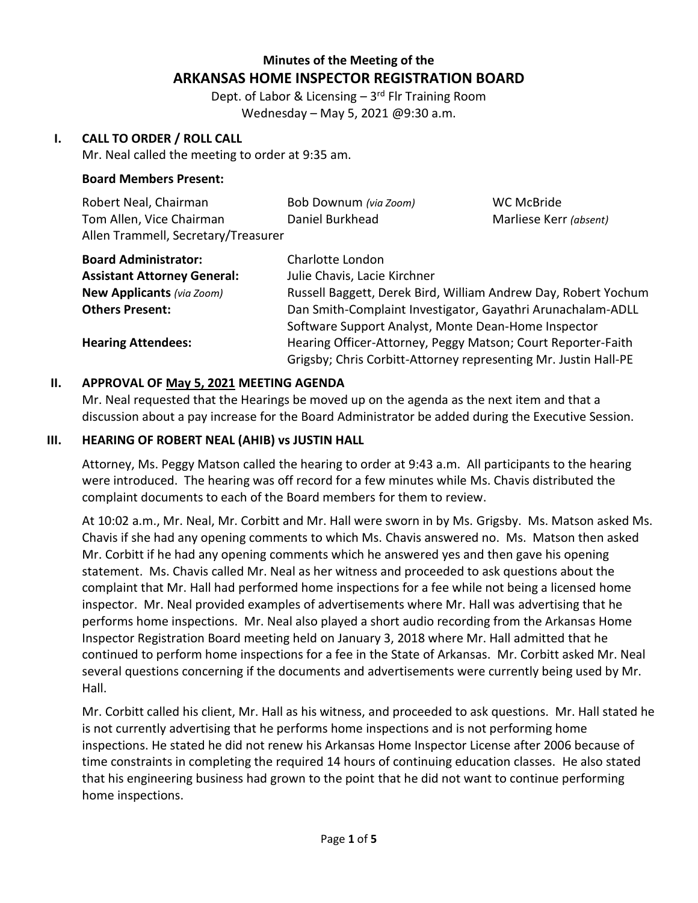# **Minutes of the Meeting of the ARKANSAS HOME INSPECTOR REGISTRATION BOARD**

Dept. of Labor & Licensing - 3<sup>rd</sup> Flr Training Room Wednesday – May 5, 2021 @9:30 a.m.

### **I. CALL TO ORDER / ROLL CALL**

Mr. Neal called the meeting to order at 9:35 am.

### **Board Members Present:**

| Robert Neal, Chairman               | Bob Downum (via Zoom) | WC McBride             |
|-------------------------------------|-----------------------|------------------------|
| Tom Allen, Vice Chairman            | Daniel Burkhead       | Marliese Kerr (absent) |
| Allen Trammell, Secretary/Treasurer |                       |                        |

| <b>Board Administrator:</b>        | Charlotte London                                                |  |
|------------------------------------|-----------------------------------------------------------------|--|
| <b>Assistant Attorney General:</b> | Julie Chavis, Lacie Kirchner                                    |  |
| <b>New Applicants (via Zoom)</b>   | Russell Baggett, Derek Bird, William Andrew Day, Robert Yochum  |  |
| <b>Others Present:</b>             | Dan Smith-Complaint Investigator, Gayathri Arunachalam-ADLL     |  |
|                                    | Software Support Analyst, Monte Dean-Home Inspector             |  |
| <b>Hearing Attendees:</b>          | Hearing Officer-Attorney, Peggy Matson; Court Reporter-Faith    |  |
|                                    | Grigsby; Chris Corbitt-Attorney representing Mr. Justin Hall-PE |  |

## **II. APPROVAL OF May 5, 2021 MEETING AGENDA**

Mr. Neal requested that the Hearings be moved up on the agenda as the next item and that a discussion about a pay increase for the Board Administrator be added during the Executive Session.

#### **III. HEARING OF ROBERT NEAL (AHIB) vs JUSTIN HALL**

Attorney, Ms. Peggy Matson called the hearing to order at 9:43 a.m. All participants to the hearing were introduced. The hearing was off record for a few minutes while Ms. Chavis distributed the complaint documents to each of the Board members for them to review.

At 10:02 a.m., Mr. Neal, Mr. Corbitt and Mr. Hall were sworn in by Ms. Grigsby. Ms. Matson asked Ms. Chavis if she had any opening comments to which Ms. Chavis answered no.Ms. Matson then asked Mr. Corbitt if he had any opening comments which he answered yes and then gave his opening statement. Ms. Chavis called Mr. Neal as her witness and proceeded to ask questions about the complaint that Mr. Hall had performed home inspections for a fee while not being a licensed home inspector. Mr. Neal provided examples of advertisements where Mr. Hall was advertising that he performs home inspections. Mr. Neal also played a short audio recording from the Arkansas Home Inspector Registration Board meeting held on January 3, 2018 where Mr. Hall admitted that he continued to perform home inspections for a fee in the State of Arkansas. Mr. Corbitt asked Mr. Neal several questions concerning if the documents and advertisements were currently being used by Mr. Hall.

Mr. Corbitt called his client, Mr. Hall as his witness, and proceeded to ask questions. Mr. Hall stated he is not currently advertising that he performs home inspections and is not performing home inspections. He stated he did not renew his Arkansas Home Inspector License after 2006 because of time constraints in completing the required 14 hours of continuing education classes. He also stated that his engineering business had grown to the point that he did not want to continue performing home inspections.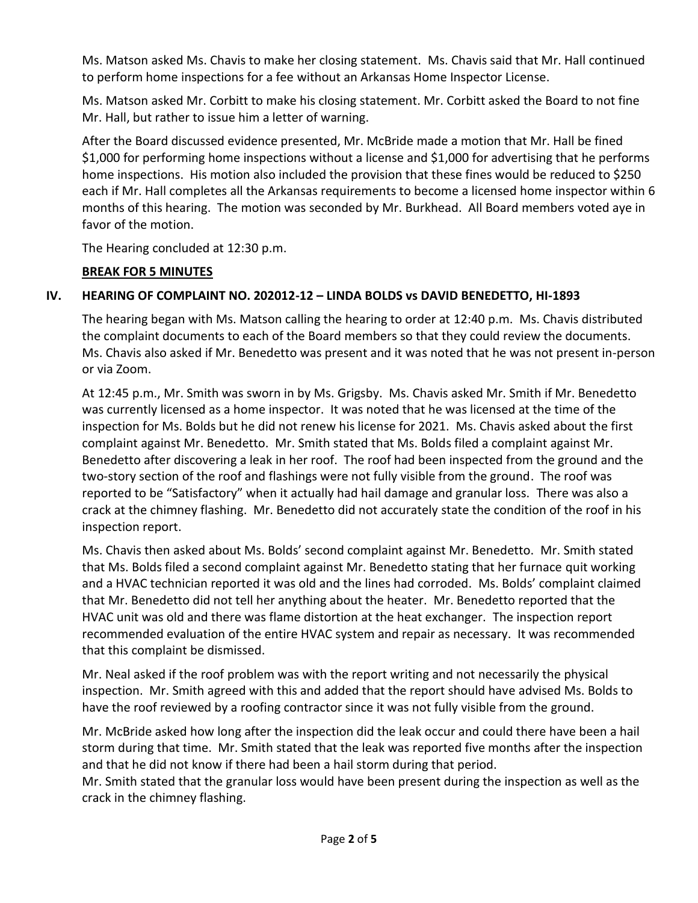Ms. Matson asked Ms. Chavis to make her closing statement. Ms. Chavis said that Mr. Hall continued to perform home inspections for a fee without an Arkansas Home Inspector License.

Ms. Matson asked Mr. Corbitt to make his closing statement. Mr. Corbitt asked the Board to not fine Mr. Hall, but rather to issue him a letter of warning.

After the Board discussed evidence presented, Mr. McBride made a motion that Mr. Hall be fined \$1,000 for performing home inspections without a license and \$1,000 for advertising that he performs home inspections. His motion also included the provision that these fines would be reduced to \$250 each if Mr. Hall completes all the Arkansas requirements to become a licensed home inspector within 6 months of this hearing. The motion was seconded by Mr. Burkhead. All Board members voted aye in favor of the motion.

The Hearing concluded at 12:30 p.m.

## **BREAK FOR 5 MINUTES**

## **IV. HEARING OF COMPLAINT NO. 202012-12 – LINDA BOLDS vs DAVID BENEDETTO, HI-1893**

The hearing began with Ms. Matson calling the hearing to order at 12:40 p.m. Ms. Chavis distributed the complaint documents to each of the Board members so that they could review the documents. Ms. Chavis also asked if Mr. Benedetto was present and it was noted that he was not present in-person or via Zoom.

At 12:45 p.m., Mr. Smith was sworn in by Ms. Grigsby. Ms. Chavis asked Mr. Smith if Mr. Benedetto was currently licensed as a home inspector. It was noted that he was licensed at the time of the inspection for Ms. Bolds but he did not renew his license for 2021. Ms. Chavis asked about the first complaint against Mr. Benedetto. Mr. Smith stated that Ms. Bolds filed a complaint against Mr. Benedetto after discovering a leak in her roof. The roof had been inspected from the ground and the two-story section of the roof and flashings were not fully visible from the ground. The roof was reported to be "Satisfactory" when it actually had hail damage and granular loss. There was also a crack at the chimney flashing. Mr. Benedetto did not accurately state the condition of the roof in his inspection report.

Ms. Chavis then asked about Ms. Bolds' second complaint against Mr. Benedetto. Mr. Smith stated that Ms. Bolds filed a second complaint against Mr. Benedetto stating that her furnace quit working and a HVAC technician reported it was old and the lines had corroded. Ms. Bolds' complaint claimed that Mr. Benedetto did not tell her anything about the heater. Mr. Benedetto reported that the HVAC unit was old and there was flame distortion at the heat exchanger. The inspection report recommended evaluation of the entire HVAC system and repair as necessary. It was recommended that this complaint be dismissed.

Mr. Neal asked if the roof problem was with the report writing and not necessarily the physical inspection. Mr. Smith agreed with this and added that the report should have advised Ms. Bolds to have the roof reviewed by a roofing contractor since it was not fully visible from the ground.

Mr. McBride asked how long after the inspection did the leak occur and could there have been a hail storm during that time. Mr. Smith stated that the leak was reported five months after the inspection and that he did not know if there had been a hail storm during that period.

Mr. Smith stated that the granular loss would have been present during the inspection as well as the crack in the chimney flashing.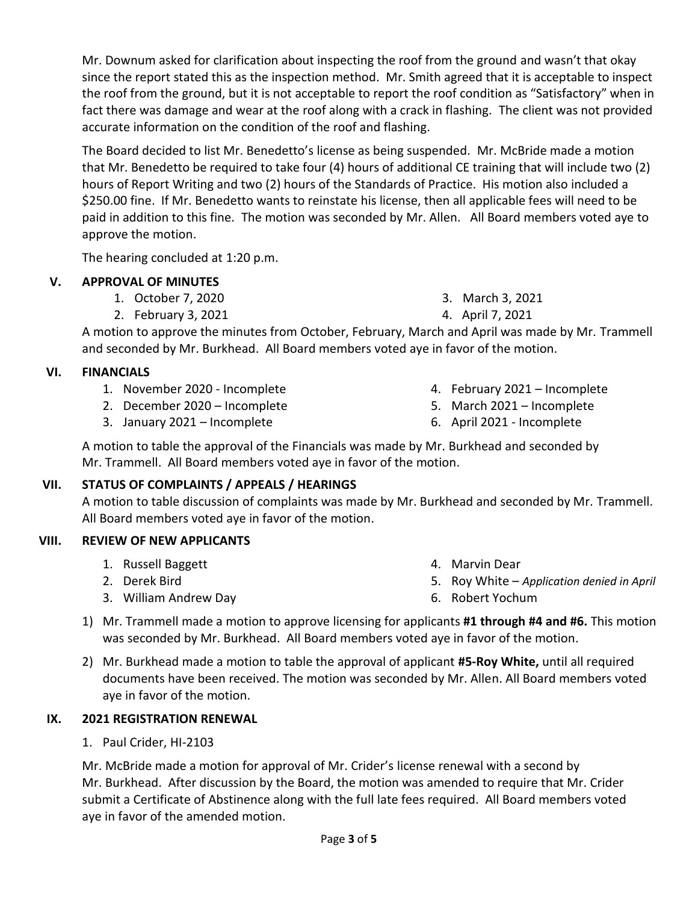Mr. Downum asked for clarification about inspecting the roof from the ground and wasn't that okay since the report stated this as the inspection method. Mr. Smith agreed that it is acceptable to inspect the roof from the ground, but it is not acceptable to report the roof condition as "Satisfactory" when in fact there was damage and wear at the roof along with a crack in flashing. The client was not provided accurate information on the condition of the roof and flashing.

The Board decided to list Mr. Benedetto's license as being suspended. Mr. McBride made a motion that Mr. Benedetto be required to take four (4) hours of additional CE training that will include two (2) hours of Report Writing and two (2) hours of the Standards of Practice. His motion also included a \$250.00 fine. If Mr. Benedetto wants to reinstate his license, then all applicable fees will need to be paid in addition to this fine. The motion was seconded by Mr. Allen. All Board members voted aye to approve the motion.

The hearing concluded at 1:20 p.m.

## **V. APPROVAL OF MINUTES**

- 1. October 7, 2020
- 2. February 3, 2021

3. March 3, 2021

4. April 7, 2021

A motion to approve the minutes from October, February, March and April was made by Mr. Trammell and seconded by Mr. Burkhead. All Board members voted aye in favor of the motion.

## **VI. FINANCIALS**

- 1. November 2020 Incomplete
- 2. December 2020 Incomplete
- 3. January 2021 Incomplete
- 4. February 2021 Incomplete
- 5. March 2021 Incomplete
- 6. April 2021 Incomplete

A motion to table the approval of the Financials was made by Mr. Burkhead and seconded by Mr. Trammell. All Board members voted aye in favor of the motion.

## **VII. STATUS OF COMPLAINTS / APPEALS / HEARINGS**

A motion to table discussion of complaints was made by Mr. Burkhead and seconded by Mr. Trammell. All Board members voted aye in favor of the motion.

## **VIII. REVIEW OF NEW APPLICANTS**

1. Russell Baggett

3. William Andrew Day

2. Derek Bird

- 4. Marvin Dear
- 5. Roy White *Application denied in April*
- 6. Robert Yochum
- 1) Mr. Trammell made a motion to approve licensing for applicants **#1 through #4 and #6.** This motion was seconded by Mr. Burkhead. All Board members voted aye in favor of the motion.
- 2) Mr. Burkhead made a motion to table the approval of applicant **#5-Roy White,** until all required documents have been received. The motion was seconded by Mr. Allen. All Board members voted aye in favor of the motion.

## **IX. 2021 REGISTRATION RENEWAL**

1. Paul Crider, HI-2103

Mr. McBride made a motion for approval of Mr. Crider's license renewal with a second by Mr. Burkhead. After discussion by the Board, the motion was amended to require that Mr. Crider submit a Certificate of Abstinence along with the full late fees required. All Board members voted aye in favor of the amended motion.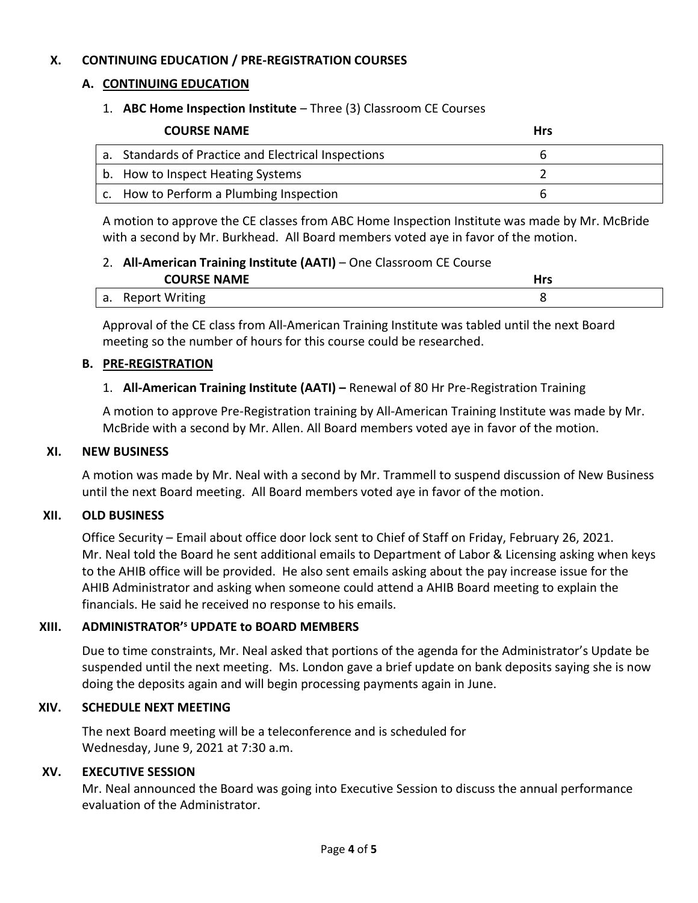### **X. CONTINUING EDUCATION / PRE-REGISTRATION COURSES**

### **A. CONTINUING EDUCATION**

### 1. **ABC Home Inspection Institute** – Three (3) Classroom CE Courses

| <b>COURSE NAME</b>                                  | <b>Hrs</b> |
|-----------------------------------------------------|------------|
| a. Standards of Practice and Electrical Inspections |            |
| b. How to Inspect Heating Systems                   |            |
| c. How to Perform a Plumbing Inspection             |            |

A motion to approve the CE classes from ABC Home Inspection Institute was made by Mr. McBride with a second by Mr. Burkhead. All Board members voted aye in favor of the motion.

### 2. **All-American Training Institute (AATI)** – One Classroom CE Course

| <b>COURSE NAME</b> | - - - |
|--------------------|-------|
| a. Report Writing  |       |

Approval of the CE class from All-American Training Institute was tabled until the next Board meeting so the number of hours for this course could be researched.

#### **B. PRE-REGISTRATION**

### 1. **All-American Training Institute (AATI) –** Renewal of 80 Hr Pre-Registration Training

A motion to approve Pre-Registration training by All-American Training Institute was made by Mr. McBride with a second by Mr. Allen. All Board members voted aye in favor of the motion.

#### **XI. NEW BUSINESS**

A motion was made by Mr. Neal with a second by Mr. Trammell to suspend discussion of New Business until the next Board meeting. All Board members voted aye in favor of the motion.

#### **XII. OLD BUSINESS**

Office Security – Email about office door lock sent to Chief of Staff on Friday, February 26, 2021. Mr. Neal told the Board he sent additional emails to Department of Labor & Licensing asking when keys to the AHIB office will be provided. He also sent emails asking about the pay increase issue for the AHIB Administrator and asking when someone could attend a AHIB Board meeting to explain the financials. He said he received no response to his emails.

#### **XIII. ADMINISTRATOR'<sup>s</sup> UPDATE to BOARD MEMBERS**

Due to time constraints, Mr. Neal asked that portions of the agenda for the Administrator's Update be suspended until the next meeting. Ms. London gave a brief update on bank deposits saying she is now doing the deposits again and will begin processing payments again in June.

#### **XIV. SCHEDULE NEXT MEETING**

The next Board meeting will be a teleconference and is scheduled for Wednesday, June 9, 2021 at 7:30 a.m.

#### **XV. EXECUTIVE SESSION**

Mr. Neal announced the Board was going into Executive Session to discuss the annual performance evaluation of the Administrator.